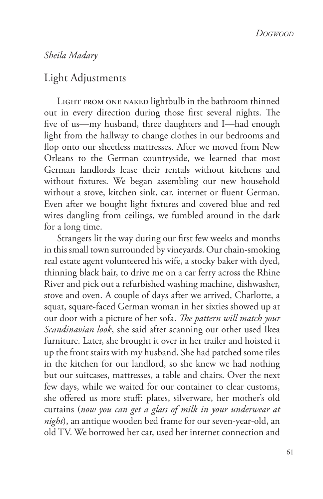## *Sheila Madary*

## Light Adjustments

LIGHT FROM ONE NAKED lightbulb in the bathroom thinned out in every direction during those first several nights. The fve of us—my husband, three daughters and I—had enough light from the hallway to change clothes in our bedrooms and fop onto our sheetless mattresses. After we moved from New Orleans to the German countryside, we learned that most German landlords lease their rentals without kitchens and without fxtures. We began assembling our new household without a stove, kitchen sink, car, internet or fuent German. Even after we bought light fxtures and covered blue and red wires dangling from ceilings, we fumbled around in the dark for a long time.

Strangers lit the way during our frst few weeks and months in this small town surrounded by vineyards. Our chain-smoking real estate agent volunteered his wife, a stocky baker with dyed, thinning black hair, to drive me on a car ferry across the Rhine River and pick out a refurbished washing machine, dishwasher, stove and oven. A couple of days after we arrived, Charlotte, a squat, square-faced German woman in her sixties showed up at our door with a picture of her sofa. *Te pattern will match your Scandinavian look*, she said after scanning our other used Ikea furniture. Later, she brought it over in her trailer and hoisted it up the front stairs with my husband. She had patched some tiles in the kitchen for our landlord, so she knew we had nothing but our suitcases, mattresses, a table and chairs. Over the next few days, while we waited for our container to clear customs, she ofered us more stuf: plates, silverware, her mother's old curtains (*now you can get a glass of milk in your underwear at night*), an antique wooden bed frame for our seven-year-old, an old TV. We borrowed her car, used her internet connection and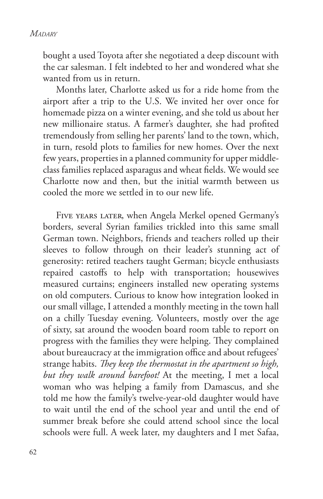bought a used Toyota after she negotiated a deep discount with the car salesman. I felt indebted to her and wondered what she wanted from us in return.

Months later, Charlotte asked us for a ride home from the airport after a trip to the U.S. We invited her over once for homemade pizza on a winter evening, and she told us about her new millionaire status. A farmer's daughter, she had profted tremendously from selling her parents' land to the town, which, in turn, resold plots to families for new homes. Over the next few years, properties in a planned community for upper middleclass families replaced asparagus and wheat felds. We would see Charlotte now and then, but the initial warmth between us cooled the more we settled in to our new life.

Five years later, when Angela Merkel opened Germany's borders, several Syrian families trickled into this same small German town. Neighbors, friends and teachers rolled up their sleeves to follow through on their leader's stunning act of generosity: retired teachers taught German; bicycle enthusiasts repaired castofs to help with transportation; housewives measured curtains; engineers installed new operating systems on old computers. Curious to know how integration looked in our small village, I attended a monthly meeting in the town hall on a chilly Tuesday evening. Volunteers, mostly over the age of sixty, sat around the wooden board room table to report on progress with the families they were helping. They complained about bureaucracy at the immigration office and about refugees' strange habits. *Tey keep the thermostat in the apartment so high, but they walk around barefoot!* At the meeting, I met a local woman who was helping a family from Damascus, and she told me how the family's twelve-year-old daughter would have to wait until the end of the school year and until the end of summer break before she could attend school since the local schools were full. A week later, my daughters and I met Safaa,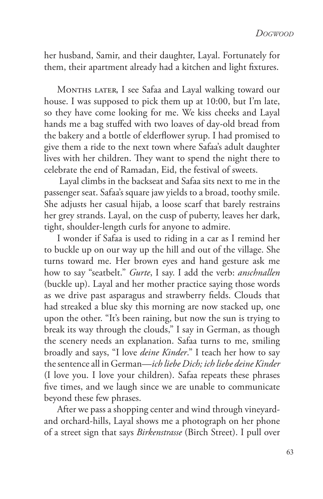her husband, Samir, and their daughter, Layal. Fortunately for them, their apartment already had a kitchen and light fxtures.

MONTHS LATER, I see Safaa and Layal walking toward our house. I was supposed to pick them up at 10:00, but I'm late, so they have come looking for me. We kiss cheeks and Layal hands me a bag stufed with two loaves of day-old bread from the bakery and a bottle of elderflower syrup. I had promised to give them a ride to the next town where Safaa's adult daughter lives with her children. They want to spend the night there to celebrate the end of Ramadan, Eid, the festival of sweets.

 Layal climbs in the backseat and Safaa sits next to me in the passenger seat. Safaa's square jaw yields to a broad, toothy smile. She adjusts her casual hijab, a loose scarf that barely restrains her grey strands. Layal, on the cusp of puberty, leaves her dark, tight, shoulder-length curls for anyone to admire.

I wonder if Safaa is used to riding in a car as I remind her to buckle up on our way up the hill and out of the village. She turns toward me. Her brown eyes and hand gesture ask me how to say "seatbelt." *Gurte*, I say. I add the verb: *anschnallen* (buckle up). Layal and her mother practice saying those words as we drive past asparagus and strawberry felds. Clouds that had streaked a blue sky this morning are now stacked up, one upon the other. "It's been raining, but now the sun is trying to break its way through the clouds," I say in German, as though the scenery needs an explanation. Safaa turns to me, smiling broadly and says, "I love *deine Kinder*." I teach her how to say the sentence all in German—*ich liebe Dich; ich liebe deine Kinder*  (I love you. I love your children). Safaa repeats these phrases fve times, and we laugh since we are unable to communicate beyond these few phrases.

After we pass a shopping center and wind through vineyardand orchard-hills, Layal shows me a photograph on her phone of a street sign that says *Birkenstrasse* (Birch Street). I pull over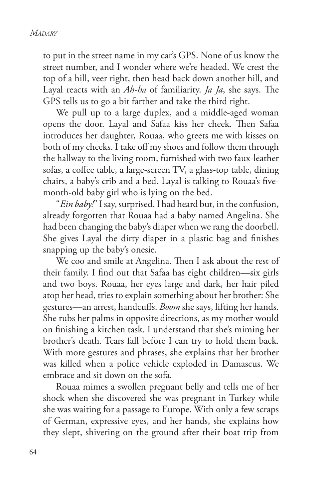to put in the street name in my car's GPS. None of us know the street number, and I wonder where we're headed. We crest the top of a hill, veer right, then head back down another hill, and Layal reacts with an *Ah-ha* of familiarity. *Ja Ja*, she says. The GPS tells us to go a bit farther and take the third right.

We pull up to a large duplex, and a middle-aged woman opens the door. Layal and Safaa kiss her cheek. Then Safaa introduces her daughter, Rouaa, who greets me with kisses on both of my cheeks. I take off my shoes and follow them through the hallway to the living room, furnished with two faux-leather sofas, a coffee table, a large-screen TV, a glass-top table, dining chairs, a baby's crib and a bed. Layal is talking to Rouaa's fvemonth-old baby girl who is lying on the bed.

"*Ein baby!*" I say, surprised. I had heard but, in the confusion, already forgotten that Rouaa had a baby named Angelina. She had been changing the baby's diaper when we rang the doorbell. She gives Layal the dirty diaper in a plastic bag and fnishes snapping up the baby's onesie.

We coo and smile at Angelina. Then I ask about the rest of their family. I fnd out that Safaa has eight children—six girls and two boys. Rouaa, her eyes large and dark, her hair piled atop her head, tries to explain something about her brother: She gestures—an arrest, handcufs. *Boom* she says, lifting her hands. She rubs her palms in opposite directions, as my mother would on fnishing a kitchen task. I understand that she's miming her brother's death. Tears fall before I can try to hold them back. With more gestures and phrases, she explains that her brother was killed when a police vehicle exploded in Damascus. We embrace and sit down on the sofa.

Rouaa mimes a swollen pregnant belly and tells me of her shock when she discovered she was pregnant in Turkey while she was waiting for a passage to Europe. With only a few scraps of German, expressive eyes, and her hands, she explains how they slept, shivering on the ground after their boat trip from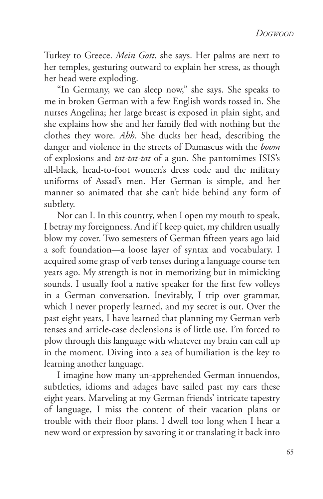Turkey to Greece. *Mein Gott*, she says. Her palms are next to her temples, gesturing outward to explain her stress, as though her head were exploding.

"In Germany, we can sleep now," she says. She speaks to me in broken German with a few English words tossed in. She nurses Angelina; her large breast is exposed in plain sight, and she explains how she and her family fed with nothing but the clothes they wore. *Ahh*. She ducks her head, describing the danger and violence in the streets of Damascus with the *boom* of explosions and *tat-tat-tat* of a gun. She pantomimes ISIS's all-black, head-to-foot women's dress code and the military uniforms of Assad's men. Her German is simple, and her manner so animated that she can't hide behind any form of subtlety.

Nor can I. In this country, when I open my mouth to speak, I betray my foreignness. And if I keep quiet, my children usually blow my cover. Two semesters of German ffteen years ago laid a soft foundation—a loose layer of syntax and vocabulary. I acquired some grasp of verb tenses during a language course ten years ago. My strength is not in memorizing but in mimicking sounds. I usually fool a native speaker for the frst few volleys in a German conversation. Inevitably, I trip over grammar, which I never properly learned, and my secret is out. Over the past eight years, I have learned that planning my German verb tenses and article-case declensions is of little use. I'm forced to plow through this language with whatever my brain can call up in the moment. Diving into a sea of humiliation is the key to learning another language.

I imagine how many un-apprehended German innuendos, subtleties, idioms and adages have sailed past my ears these eight years. Marveling at my German friends' intricate tapestry of language, I miss the content of their vacation plans or trouble with their foor plans. I dwell too long when I hear a new word or expression by savoring it or translating it back into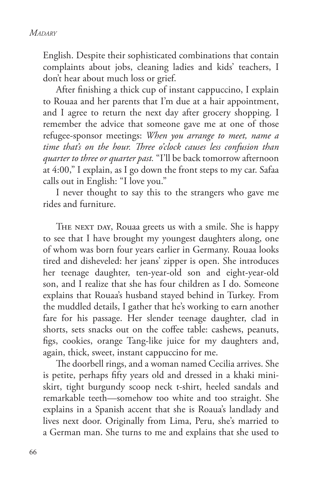English. Despite their sophisticated combinations that contain complaints about jobs, cleaning ladies and kids' teachers, I don't hear about much loss or grief.

After fnishing a thick cup of instant cappuccino, I explain to Rouaa and her parents that I'm due at a hair appointment, and I agree to return the next day after grocery shopping. I remember the advice that someone gave me at one of those refugee-sponsor meetings: *When you arrange to meet, name a time that's on the hour. Tree o'clock causes less confusion than quarter to three or quarter past.* "I'll be back tomorrow afternoon at 4:00," I explain, as I go down the front steps to my car. Safaa calls out in English: "I love you."

I never thought to say this to the strangers who gave me rides and furniture.

THE NEXT DAY, Rouaa greets us with a smile. She is happy to see that I have brought my youngest daughters along, one of whom was born four years earlier in Germany. Rouaa looks tired and disheveled: her jeans' zipper is open. She introduces her teenage daughter, ten-year-old son and eight-year-old son, and I realize that she has four children as I do. Someone explains that Rouaa's husband stayed behind in Turkey. From the muddled details, I gather that he's working to earn another fare for his passage. Her slender teenage daughter, clad in shorts, sets snacks out on the coffee table: cashews, peanuts, fgs, cookies, orange Tang-like juice for my daughters and, again, thick, sweet, instant cappuccino for me.

The doorbell rings, and a woman named Cecilia arrives. She is petite, perhaps ffty years old and dressed in a khaki miniskirt, tight burgundy scoop neck t-shirt, heeled sandals and remarkable teeth—somehow too white and too straight. She explains in a Spanish accent that she is Roaua's landlady and lives next door. Originally from Lima, Peru, she's married to a German man. She turns to me and explains that she used to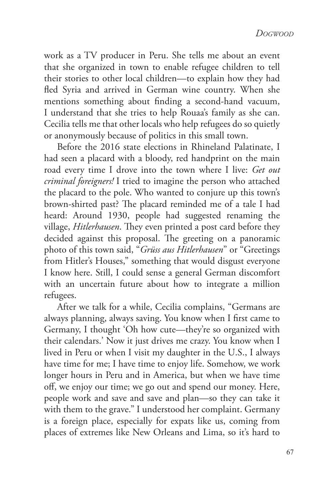work as a TV producer in Peru. She tells me about an event that she organized in town to enable refugee children to tell their stories to other local children—to explain how they had fed Syria and arrived in German wine country. When she mentions something about fnding a second-hand vacuum, I understand that she tries to help Rouaa's family as she can. Cecilia tells me that other locals who help refugees do so quietly or anonymously because of politics in this small town.

Before the 2016 state elections in Rhineland Palatinate, I had seen a placard with a bloody, red handprint on the main road every time I drove into the town where I live: *Get out criminal foreigners!* I tried to imagine the person who attached the placard to the pole. Who wanted to conjure up this town's brown-shirted past? The placard reminded me of a tale I had heard: Around 1930, people had suggested renaming the village, *Hitlerhausen*. They even printed a post card before they decided against this proposal. The greeting on a panoramic photo of this town said, "*Grüss aus Hitlerhausen*" or "Greetings from Hitler's Houses," something that would disgust everyone I know here. Still, I could sense a general German discomfort with an uncertain future about how to integrate a million refugees.

After we talk for a while, Cecilia complains, "Germans are always planning, always saving. You know when I frst came to Germany, I thought 'Oh how cute—they're so organized with their calendars.' Now it just drives me crazy. You know when I lived in Peru or when I visit my daughter in the U.S., I always have time for me; I have time to enjoy life. Somehow, we work longer hours in Peru and in America, but when we have time of, we enjoy our time; we go out and spend our money. Here, people work and save and save and plan—so they can take it with them to the grave." I understood her complaint. Germany is a foreign place, especially for expats like us, coming from places of extremes like New Orleans and Lima, so it's hard to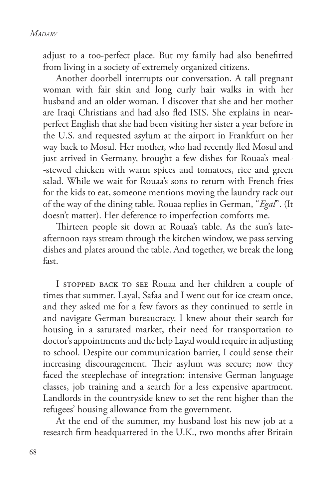adjust to a too-perfect place. But my family had also beneftted from living in a society of extremely organized citizens.

Another doorbell interrupts our conversation. A tall pregnant woman with fair skin and long curly hair walks in with her husband and an older woman. I discover that she and her mother are Iraqi Christians and had also fed ISIS. She explains in nearperfect English that she had been visiting her sister a year before in the U.S. and requested asylum at the airport in Frankfurt on her way back to Mosul. Her mother, who had recently fed Mosul and just arrived in Germany, brought a few dishes for Rouaa's meal- -stewed chicken with warm spices and tomatoes, rice and green salad. While we wait for Rouaa's sons to return with French fries for the kids to eat, someone mentions moving the laundry rack out of the way of the dining table. Rouaa replies in German, "*Egal*". (It doesn't matter). Her deference to imperfection comforts me.

Thirteen people sit down at Rouaa's table. As the sun's lateafternoon rays stream through the kitchen window, we pass serving dishes and plates around the table. And together, we break the long fast.

I stopped back to see Rouaa and her children a couple of times that summer. Layal, Safaa and I went out for ice cream once, and they asked me for a few favors as they continued to settle in and navigate German bureaucracy. I knew about their search for housing in a saturated market, their need for transportation to doctor's appointments and the help Layal would require in adjusting to school. Despite our communication barrier, I could sense their increasing discouragement. Their asylum was secure; now they faced the steeplechase of integration: intensive German language classes, job training and a search for a less expensive apartment. Landlords in the countryside knew to set the rent higher than the refugees' housing allowance from the government.

At the end of the summer, my husband lost his new job at a research frm headquartered in the U.K., two months after Britain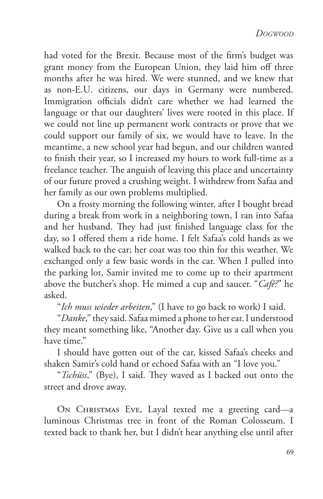had voted for the Brexit. Because most of the frm's budget was grant money from the European Union, they laid him off three months after he was hired. We were stunned, and we knew that as non-E.U. citizens, our days in Germany were numbered. Immigration officials didn't care whether we had learned the language or that our daughters' lives were rooted in this place. If we could not line up permanent work contracts or prove that we could support our family of six, we would have to leave. In the meantime, a new school year had begun, and our children wanted to fnish their year, so I increased my hours to work full-time as a freelance teacher. The anguish of leaving this place and uncertainty of our future proved a crushing weight. I withdrew from Safaa and her family as our own problems multiplied.

On a frosty morning the following winter, after I bought bread during a break from work in a neighboring town, I ran into Safaa and her husband. They had just finished language class for the day, so I offered them a ride home. I felt Safaa's cold hands as we walked back to the car; her coat was too thin for this weather. We exchanged only a few basic words in the car. When I pulled into the parking lot, Samir invited me to come up to their apartment above the butcher's shop. He mimed a cup and saucer. "*Café?*" he asked.

"*Ich muss wieder arbeiten*," (I have to go back to work) I said.

"*Danke*," they said. Safaa mimed a phone to her ear. I understood they meant something like, "Another day. Give us a call when you have time."

I should have gotten out of the car, kissed Safaa's cheeks and shaken Samir's cold hand or echoed Safaa with an "I love you."

"*Tschüss*," (Bye), I said. They waved as I backed out onto the street and drove away.

On Christmas Eve, Layal texted me a greeting card—a luminous Christmas tree in front of the Roman Colosseum. I texted back to thank her, but I didn't hear anything else until after